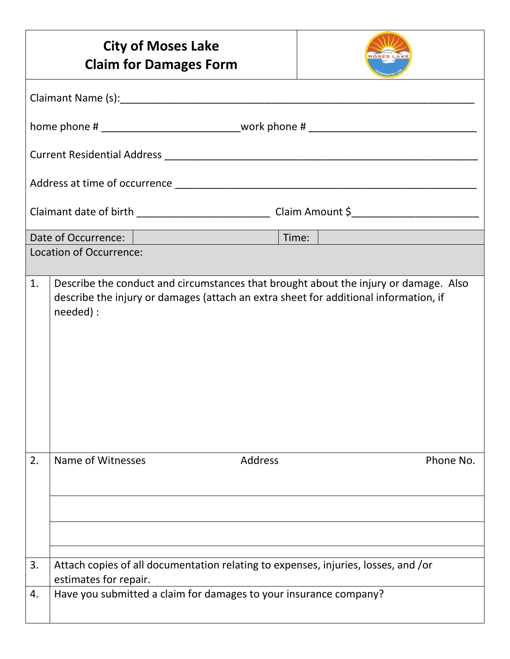|                         |                                                                                                             | <b>City of Moses Lake</b><br><b>Claim for Damages Form</b>        |                |  |                                                                                                                                                                              |  |  |
|-------------------------|-------------------------------------------------------------------------------------------------------------|-------------------------------------------------------------------|----------------|--|------------------------------------------------------------------------------------------------------------------------------------------------------------------------------|--|--|
|                         |                                                                                                             |                                                                   |                |  |                                                                                                                                                                              |  |  |
|                         |                                                                                                             |                                                                   |                |  |                                                                                                                                                                              |  |  |
|                         |                                                                                                             |                                                                   |                |  |                                                                                                                                                                              |  |  |
|                         |                                                                                                             |                                                                   |                |  |                                                                                                                                                                              |  |  |
|                         |                                                                                                             |                                                                   |                |  |                                                                                                                                                                              |  |  |
|                         |                                                                                                             |                                                                   |                |  |                                                                                                                                                                              |  |  |
| Location of Occurrence: |                                                                                                             |                                                                   |                |  |                                                                                                                                                                              |  |  |
| 1.                      | needed) :                                                                                                   |                                                                   |                |  | Describe the conduct and circumstances that brought about the injury or damage. Also<br>describe the injury or damages (attach an extra sheet for additional information, if |  |  |
| 2.                      | Name of Witnesses                                                                                           |                                                                   | <b>Address</b> |  | Phone No.                                                                                                                                                                    |  |  |
|                         |                                                                                                             |                                                                   |                |  |                                                                                                                                                                              |  |  |
|                         |                                                                                                             |                                                                   |                |  |                                                                                                                                                                              |  |  |
| 3.                      | Attach copies of all documentation relating to expenses, injuries, losses, and /or<br>estimates for repair. |                                                                   |                |  |                                                                                                                                                                              |  |  |
| 4.                      |                                                                                                             | Have you submitted a claim for damages to your insurance company? |                |  |                                                                                                                                                                              |  |  |